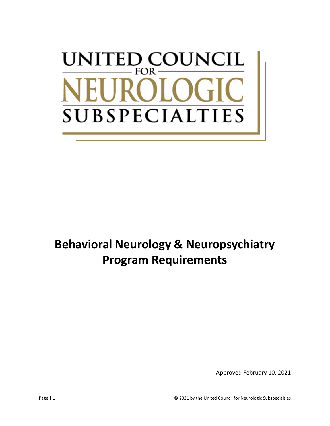# UNCIL UNITED CO **FOR** SUBSPECIALT **TIES**

# **Behavioral Neurology & Neuropsychiatry Program Requirements**

Approved February 10, 2021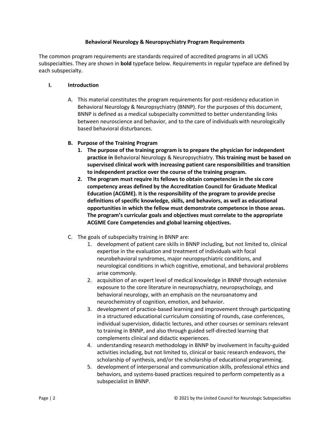#### **Behavioral Neurology & Neuropsychiatry Program Requirements**

The common program requirements are standards required of accredited programs in all UCNS subspecialties. They are shown in **bold** typeface below. Requirements in regular typeface are defined by each subspecialty.

#### **I. Introduction**

A. This material constitutes the program requirements for post-residency education in Behavioral Neurology & Neuropsychiatry (BNNP). For the purposes of this document, BNNP is defined as a medical subspecialty committed to better understanding links between neuroscience and behavior, and to the care of individuals with neurologically based behavioral disturbances.

#### **B. Purpose of the Training Program**

- **1. The purpose of the training program is to prepare the physician for independent practice in** Behavioral Neurology & Neuropsychiatry. **This training must be based on supervised clinical work with increasing patient care responsibilities and transition to independent practice over the course of the training program.**
- **2. The program must require its fellows to obtain competencies in the six core competency areas defined by the Accreditation Council for Graduate Medical Education (ACGME). It is the responsibility of the program to provide precise definitions of specific knowledge, skills, and behaviors, as well as educational opportunities in which the fellow must demonstrate competence in those areas. The program's curricular goals and objectives must correlate to the appropriate ACGME Core Competencies and global learning objectives.**
- C. The goals of subspecialty training in BNNP are:
	- 1. development of patient care skills in BNNP including, but not limited to, clinical expertise in the evaluation and treatment of individuals with focal neurobehavioral syndromes, major neuropsychiatric conditions, and neurological conditions in which cognitive, emotional, and behavioral problems arise commonly.
	- 2. acquisition of an expert level of medical knowledge in BNNP through extensive exposure to the core literature in neuropsychiatry, neuropsychology, and behavioral neurology, with an emphasis on the neuroanatomy and neurochemistry of cognition, emotion, and behavior.
	- 3. development of practice-based learning and improvement through participating in a structured educational curriculum consisting of rounds, case conferences, individual supervision, didactic lectures, and other courses or seminars relevant to training in BNNP, and also through guided self-directed learning that complements clinical and didactic experiences.
	- 4. understanding research methodology in BNNP by involvement in faculty-guided activities including, but not limited to, clinical or basic research endeavors, the scholarship of synthesis, and/or the scholarship of educational programming.
	- 5. development of interpersonal and communication skills, professional ethics and behaviors, and systems-based practices required to perform competently as a subspecialist in BNNP.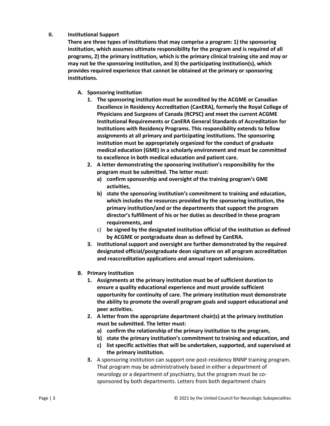#### **II. Institutional Support**

**There are three types of institutions that may comprise a program: 1) the sponsoring institution, which assumes ultimate responsibility for the program and is required of all programs, 2) the primary institution, which is the primary clinical training site and may or may not be the sponsoring institution, and 3) the participating institution(s), which provides required experience that cannot be obtained at the primary or sponsoring institutions.**

# **A. Sponsoring Institution**

- **1. The sponsoring institution must be accredited by the ACGME or Canadian Excellence in Residency Accreditation (CanERA), formerly the Royal College of Physicians and Surgeons of Canada (RCPSC) and meet the current ACGME Institutional Requirements or CanERA General Standards of Accreditation for Institutions with Residency Programs. This responsibility extends to fellow assignments at all primary and participating institutions. The sponsoring institution must be appropriately organized for the conduct of graduate medical education (GME) in a scholarly environment and must be committed to excellence in both medical education and patient care.**
- **2. A letter demonstrating the sponsoring institution's responsibility for the program must be submitted. The letter must:**
	- **a) confirm sponsorship and oversight of the training program's GME activities,**
	- **b) state the sponsoring institution's commitment to training and education, which includes the resources provided by the sponsoring institution, the primary institution/and or the departments that support the program director's fulfillment of his or her duties as described in these program requirements, and**
	- c) **be signed by the designated institution official of the institution as defined by ACGME or postgraduate dean as defined by CanERA.**
- **3. Institutional support and oversight are further demonstrated by the required designated official/postgraduate dean signature on all program accreditation and reaccreditation applications and annual report submissions.**
- **B. Primary Institution**
	- **1. Assignments at the primary institution must be of sufficient duration to ensure a quality educational experience and must provide sufficient opportunity for continuity of care. The primary institution must demonstrate the ability to promote the overall program goals and support educational and peer activities.**
	- **2. A letter from the appropriate department chair(s) at the primary institution must be submitted. The letter must:**
		- **a) confirm the relationship of the primary institution to the program,**
		- **b) state the primary institution's commitment to training and education, and**
		- **c) list specific activities that will be undertaken, supported, and supervised at the primary institution.**
	- **3.** A sponsoring institution can support one post-residency BNNP training program. That program may be administratively based in either a department of neurology or a department of psychiatry, but the program must be cosponsored by both departments. Letters from both department chairs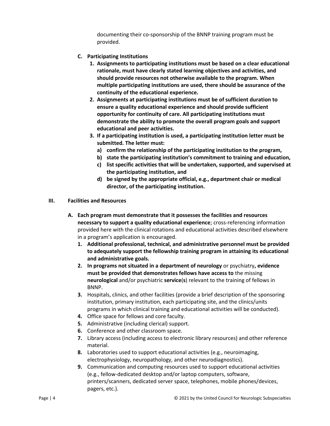documenting their co-sponsorship of the BNNP training program must be provided.

- **C. Participating Institutions**
	- **1. Assignments to participating institutions must be based on a clear educational rationale, must have clearly stated learning objectives and activities, and should provide resources not otherwise available to the program. When multiple participating institutions are used, there should be assurance of the continuity of the educational experience.**
	- **2. Assignments at participating institutions must be of sufficient duration to ensure a quality educational experience and should provide sufficient opportunity for continuity of care. All participating institutions must demonstrate the ability to promote the overall program goals and support educational and peer activities.**
	- **3. If a participating institution is used, a participating institution letter must be submitted. The letter must:**
		- **a) confirm the relationship of the participating institution to the program,**
		- **b) state the participating institution's commitment to training and education,**
		- **c) list specific activities that will be undertaken, supported, and supervised at the participating institution, and**
		- **d) be signed by the appropriate official, e.g., department chair or medical director, of the participating institution.**
- **III. Facilities and Resources**
	- **A. Each program must demonstrate that it possesses the facilities and resources necessary to support a quality educational experience**; cross-referencing information provided here with the clinical rotations and educational activities described elsewhere in a program's application is encouraged.
		- **1. Additional professional, technical, and administrative personnel must be provided to adequately support the fellowship training program in attaining its educational and administrative goals.**
		- **2. In programs not situated in a department of neurology** or psychiatry**, evidence must be provided that demonstrates fellows have access to** the missing **neurological** and/or psychiatric **service**(**s**) relevant to the training of fellows in BNNP.
		- **3.** Hospitals, clinics, and other facilities (provide a brief description of the sponsoring institution, primary institution, each participating site, and the clinics/units programs in which clinical training and educational activities will be conducted).
		- **4.** Office space for fellows and core faculty.
		- **5.** Administrative (including clerical) support.
		- **6.** Conference and other classroom space.
		- **7.** Library access (including access to electronic library resources) and other reference material.
		- **8.** Laboratories used to support educational activities (e.g., neuroimaging, electrophysiology, neuropathology, and other neurodiagnostics).
		- **9.** Communication and computing resources used to support educational activities (e.g., fellow-dedicated desktop and/or laptop computers, software, printers/scanners, dedicated server space, telephones, mobile phones/devices, pagers, etc.).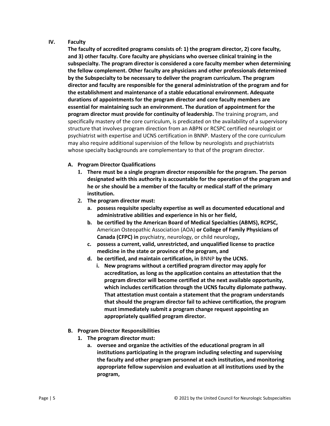#### **IV. Faculty**

**The faculty of accredited programs consists of: 1) the program director, 2) core faculty, and 3) other faculty. Core faculty are physicians who oversee clinical training in the subspecialty. The program director is considered a core faculty member when determining the fellow complement. Other faculty are physicians and other professionals determined by the Subspecialty to be necessary to deliver the program curriculum. The program director and faculty are responsible for the general administration of the program and for the establishment and maintenance of a stable educational environment. Adequate durations of appointments for the program director and core faculty members are essential for maintaining such an environment. The duration of appointment for the program director must provide for continuity of leadership.** The training program, and specifically mastery of the core curriculum, is predicated on the availability of a supervisory structure that involves program direction from an ABPN or RCSPC certified neurologist or psychiatrist with expertise and UCNS certification in BNNP. Mastery of the core curriculum may also require additional supervision of the fellow by neurologists and psychiatrists whose specialty backgrounds are complementary to that of the program director.

#### **A. Program Director Qualifications**

- **1. There must be a single program director responsible for the program. The person designated with this authority is accountable for the operation of the program and he or she should be a member of the faculty or medical staff of the primary institution.**
- **2. The program director must:**
	- **a. possess requisite specialty expertise as well as documented educational and administrative abilities and experience in his or her field,**
	- **b. be certified by the American Board of Medical Specialties (ABMS), RCPSC,**  American Osteopathic Association (AOA) **or College of Family Physicians of Canada (CFPC) in** psychiatry, neurology, or child neurology**,**
	- **c. possess a current, valid, unrestricted, and unqualified license to practice medicine in the state or province of the program, and**
	- **d. be certified, and maintain certification, in** BNNP **by the UCNS.**
		- **i. New programs without a certified program director may apply for accreditation, as long as the application contains an attestation that the program director will become certified at the next available opportunity, which includes certification through the UCNS faculty diplomate pathway. That attestation must contain a statement that the program understands that should the program director fail to achieve certification, the program must immediately submit a program change request appointing an appropriately qualified program director.**
- **B. Program Director Responsibilities** 
	- **1. The program director must:**
		- **a. oversee and organize the activities of the educational program in all institutions participating in the program including selecting and supervising the faculty and other program personnel at each institution, and monitoring appropriate fellow supervision and evaluation at all institutions used by the program,**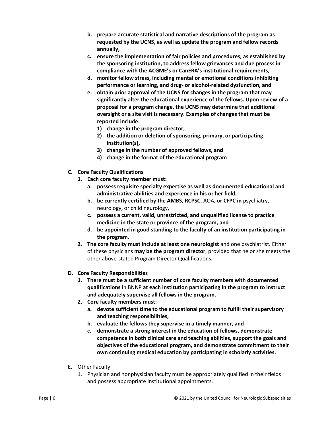- **b. prepare accurate statistical and narrative descriptions of the program as requested by the UCNS, as well as update the program and fellow records annually,**
- **c. ensure the implementation of fair policies and procedures, as established by the sponsoring institution, to address fellow grievances and due process in compliance with the ACGME's or CanERA's institutional requirements,**
- **d. monitor fellow stress, including mental or emotional conditions inhibiting performance or learning, and drug- or alcohol-related dysfunction, and**
- **e. obtain prior approval of the UCNS for changes in the program that may significantly alter the educational experience of the fellows. Upon review of a proposal for a program change, the UCNS may determine that additional oversight or a site visit is necessary. Examples of changes that must be reported include:**
	- **1) change in the program director,**
	- **2) the addition or deletion of sponsoring, primary, or participating institution(s),**
	- **3) change in the number of approved fellows, and**
	- **4) change in the format of the educational program**
- **C. Core Faculty Qualifications**
	- **1. Each core faculty member must:** 
		- **a. possess requisite specialty expertise as well as documented educational and administrative abilities and experience in his or her field,**
		- **b. be currently certified by the AMBS, RCPSC,** AOA, **or CFPC in** psychiatry, neurology, or child neurology,
		- **c. possess a current, valid, unrestricted, and unqualified license to practice medicine in the state or province of the program, and**
		- **d. be appointed in good standing to the faculty of an institution participating in the program.**
	- **2. The core faculty must include at least one neurologist** and one psychiatrist**.** Either of these physicians **may be the program director**, provided that he or she meets the other above-stated Program Director Qualifications**.**
- **D. Core Faculty Responsibilities**
	- **1. There must be a sufficient number of core faculty members with documented qualifications** in BNNP **at each institution participating in the program to instruct and adequately supervise all fellows in the program.**
	- **2. Core faculty members must:**
		- **a. devote sufficient time to the educational program to fulfill their supervisory and teaching responsibilities,**
		- **b. evaluate the fellows they supervise in a timely manner, and**
		- **c. demonstrate a strong interest in the education of fellows, demonstrate competence in both clinical care and teaching abilities, support the goals and objectives of the educational program, and demonstrate commitment to their own continuing medical education by participating in scholarly activities.**
- E. Other Faculty
	- 1. Physician and nonphysician faculty must be appropriately qualified in their fields and possess appropriate institutional appointments.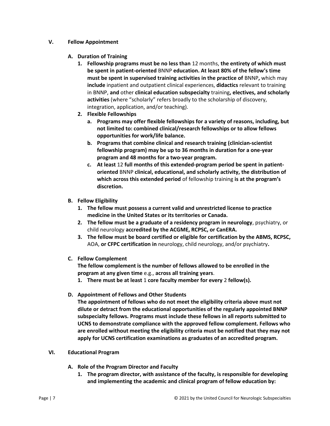#### **V. Fellow Appointment**

### **A. Duration of Training**

- **1. Fellowship programs must be no less than** 12 months, **the entirety of which must be spent in patient-oriented** BNNP **education. At least 80% of the fellow's time must be spent in supervised training activities in the practice of** BNNP**,** which may **include** inpatient and outpatient clinical experiences, **didactics** relevant to training in BNNP, **and** other **clinical education subspecialty** training**, electives, and scholarly activities** (where "scholarly" refers broadly to the scholarship of discovery, integration, application, and/or teaching).
- **2. Flexible Fellowships**
	- **a. Programs may offer flexible fellowships for a variety of reasons, including, but not limited to: combined clinical/research fellowships or to allow fellows opportunities for work/life balance.**
	- **b. Programs that combine clinical and research training (clinician-scientist fellowship program) may be up to 36 months in duration for a one-year program and 48 months for a two-year program.**
	- **c. At least** 12 **full months of this extended-program period be spent in patientoriented** BNNP **clinical, educational, and scholarly activity, the distribution of which across this extended period** of fellowship training **is at the program's discretion.**

# **B. Fellow Eligibility**

- **1. The fellow must possess a current valid and unrestricted license to practice medicine in the United States or its territories or Canada.**
- **2. The fellow must be a graduate of a residency program in neurology**, psychiatry, or child neurology **accredited by the ACGME, RCPSC, or CanERA.**
- **3. The fellow must be board certified or eligible for certification by the ABMS, RCPSC,**  AOA, **or CFPC certification in** neurology, child neurology, and/or psychiatry**.**
- **C. Fellow Complement**

**The fellow complement is the number of fellows allowed to be enrolled in the program at any given time** e.g., **across all training years**.

- **1. There must be at least** 1 **core faculty member for every** 2 **fellow(s).**
- **D. Appointment of Fellows and Other Students**

**The appointment of fellows who do not meet the eligibility criteria above must not dilute or detract from the educational opportunities of the regularly appointed BNNP subspecialty fellows. Programs must include these fellows in all reports submitted to UCNS to demonstrate compliance with the approved fellow complement. Fellows who are enrolled without meeting the eligibility criteria must be notified that they may not apply for UCNS certification examinations as graduates of an accredited program.**

- **VI. Educational Program**
	- **A. Role of the Program Director and Faculty**
		- **1. The program director, with assistance of the faculty, is responsible for developing and implementing the academic and clinical program of fellow education by:**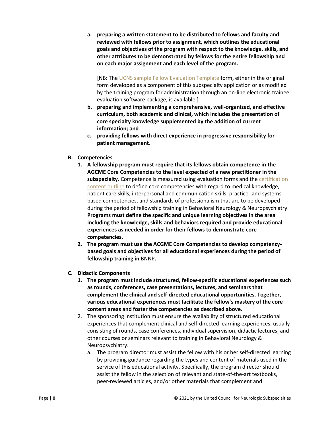**a. preparing a written statement to be distributed to fellows and faculty and reviewed with fellows prior to assignment, which outlines the educational goals and objectives of the program with respect to the knowledge, skills, and other attributes to be demonstrated by fellows for the entire fellowship and on each major assignment and each level of the program.** 

[NB**:** The [UCNS sample Fellow Evaluation Template](https://www.ucns.org/Online/Accreditation/Online/Accreditation_Home.aspx?hkey=b3855106-2a75-4dcd-8300-f250d6487dc9) form, either in the original form developed as a component of this subspecialty application or as modified by the training program for administration through an on-line electronic trainee evaluation software package, is available.]

- **b. preparing and implementing a comprehensive, well-organized, and effective curriculum, both academic and clinical, which includes the presentation of core specialty knowledge supplemented by the addition of current information; and**
- **c. providing fellows with direct experience in progressive responsibility for patient management.**

# **B. Competencies**

- **1. A fellowship program must require that its fellows obtain competence in the AGCME Core Competencies to the level expected of a new practitioner in the subspecialty.** Competence is measured using evaluation forms and th[e certification](https://www.ucns.org/Online/Initial_Certification/Behavioral_Neurology_Neuropsychiatry/Online/Certification/Behavioral_Cert.aspx?hkey=0476b976-7a9c-49ec-adee-f1169c26ce08)  [content outline](https://www.ucns.org/Online/Initial_Certification/Behavioral_Neurology_Neuropsychiatry/Online/Certification/Behavioral_Cert.aspx?hkey=0476b976-7a9c-49ec-adee-f1169c26ce08) to define core competencies with regard to medical knowledge, patient care skills, interpersonal and communication skills, practice- and systemsbased competencies, and standards of professionalism that are to be developed during the period of fellowship training in Behavioral Neurology & Neuropsychiatry. **Programs must define the specific and unique learning objectives in the area including the knowledge, skills and behaviors required and provide educational experiences as needed in order for their fellows to demonstrate core competencies.**
- **2. The program must use the ACGME Core Competencies to develop competencybased goals and objectives for all educational experiences during the period of fellowship training in** BNNP**.**
- **C. Didactic Components**
	- **1. The program must include structured, fellow-specific educational experiences such as rounds, conferences, case presentations, lectures, and seminars that complement the clinical and self-directed educational opportunities. Together, various educational experiences must facilitate the fellow's mastery of the core content areas and foster the competencies as described above.**
	- 2. The sponsoring institution must ensure the availability of structured educational experiences that complement clinical and self-directed learning experiences, usually consisting of rounds, case conferences, individual supervision, didactic lectures, and other courses or seminars relevant to training in Behavioral Neurology & Neuropsychiatry.
		- a. The program director must assist the fellow with his or her self-directed learning by providing guidance regarding the types and content of materials used in the service of this educational activity. Specifically, the program director should assist the fellow in the selection of relevant and state-of-the-art textbooks, peer-reviewed articles, and/or other materials that complement and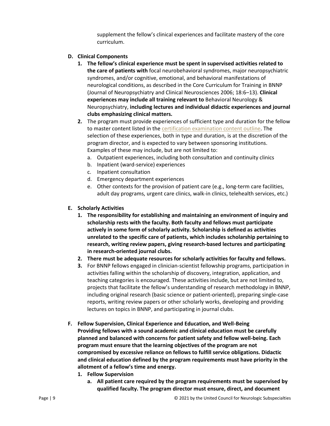supplement the fellow's clinical experiences and facilitate mastery of the core curriculum.

### **D. Clinical Components**

- **1. The fellow's clinical experience must be spent in supervised activities related to the care of patients with** focal neurobehavioral syndromes, major neuropsychiatric syndromes, and/or cognitive, emotional, and behavioral manifestations of neurological conditions, as described in the Core Curriculum for Training in BNNP (Journal of Neuropsychiatry and Clinical Neurosciences 2006; 18:6–13). **Clinical experiences may include all training relevant to** Behavioral Neurology & Neuropsychiatry, **including lectures and individual didactic experiences and journal clubs emphasizing clinical matters.**
- **2.** The program must provide experiences of sufficient type and duration for the fellow to master content listed in the [certification examination content outline.](https://www.ucns.org/Online/Initial_Certification/Behavioral_Neurology_Neuropsychiatry/Online/Certification/Behavioral_Cert.aspx?hkey=0476b976-7a9c-49ec-adee-f1169c26ce08) The selection of these experiences, both in type and duration, is at the discretion of the program director, and is expected to vary between sponsoring institutions. Examples of these may include, but are not limited to:
	- a. Outpatient experiences, including both consultation and continuity clinics
	- b. Inpatient (ward-service) experiences
	- c. Inpatient consultation
	- d. Emergency department experiences
	- e. Other contexts for the provision of patient care (e.g., long-term care facilities, adult day programs, urgent care clinics, walk-in clinics, telehealth services, etc.)
- **E. Scholarly Activities**
	- **1. The responsibility for establishing and maintaining an environment of inquiry and scholarship rests with the faculty. Both faculty and fellows must participate actively in some form of scholarly activity. Scholarship is defined as activities unrelated to the specific care of patients, which includes scholarship pertaining to research, writing review papers, giving research-based lectures and participating in research-oriented journal clubs.**
	- **2. There must be adequate resources for scholarly activities for faculty and fellows.**
	- **3.** For BNNP fellows engaged in clinician-scientist fellowship programs, participation in activities falling within the scholarship of discovery, integration, application, and teaching categories is encouraged. These activities include, but are not limited to, projects that facilitate the fellow's understanding of research methodology in BNNP, including original research (basic science or patient-oriented), preparing single-case reports, writing review papers or other scholarly works, developing and providing lectures on topics in BNNP, and participating in journal clubs.
- **F. Fellow Supervision, Clinical Experience and Education, and Well-Being Providing fellows with a sound academic and clinical education must be carefully planned and balanced with concerns for patient safety and fellow well-being. Each program must ensure that the learning objectives of the program are not compromised by excessive reliance on fellows to fulfill service obligations. Didactic and clinical education defined by the program requirements must have priority in the allotment of a fellow's time and energy.** 
	- **1. Fellow Supervision**
		- **a. All patient care required by the program requirements must be supervised by qualified faculty. The program director must ensure, direct, and document**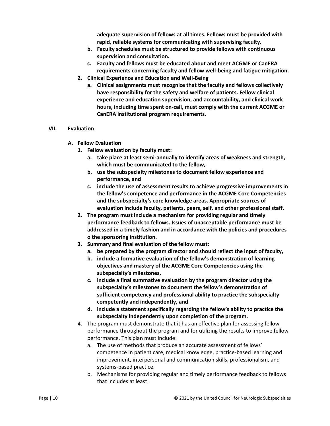**adequate supervision of fellows at all times. Fellows must be provided with rapid, reliable systems for communicating with supervising faculty.**

- **b. Faculty schedules must be structured to provide fellows with continuous supervision and consultation.**
- **c. Faculty and fellows must be educated about and meet ACGME or CanERA requirements concerning faculty and fellow well-being and fatigue mitigation.**
- **2. Clinical Experience and Education and Well-Being**
	- **a. Clinical assignments must recognize that the faculty and fellows collectively have responsibility for the safety and welfare of patients. Fellow clinical experience and education supervision, and accountability, and clinical work hours, including time spent on-call, must comply with the current ACGME or CanERA institutional program requirements.**

#### **VII. Evaluation**

- **A. Fellow Evaluation**
	- **1. Fellow evaluation by faculty must:**
		- **a. take place at least semi-annually to identify areas of weakness and strength, which must be communicated to the fellow,**
		- **b. use the subspecialty milestones to document fellow experience and performance, and**
		- **c. include the use of assessment results to achieve progressive improvements in the fellow's competence and performance in the ACGME Core Competencies and the subspecialty's core knowledge areas. Appropriate sources of evaluation include faculty, patients, peers, self, and other professional staff.**
	- **2. The program must include a mechanism for providing regular and timely performance feedback to fellows. Issues of unacceptable performance must be addressed in a timely fashion and in accordance with the policies and procedures o the sponsoring institution.**
	- **3. Summary and final evaluation of the fellow must:**
		- **a. be prepared by the program director and should reflect the input of faculty,**
		- **b. include a formative evaluation of the fellow's demonstration of learning objectives and mastery of the ACGME Core Competencies using the subspecialty's milestones,**
		- **c. include a final summative evaluation by the program director using the subspecialty's milestones to document the fellow's demonstration of sufficient competency and professional ability to practice the subspecialty competently and independently, and**
		- **d. include a statement specifically regarding the fellow's ability to practice the subspecialty independently upon completion of the program.**
	- 4. The program must demonstrate that it has an effective plan for assessing fellow performance throughout the program and for utilizing the results to improve fellow performance. This plan must include:
		- a. The use of methods that produce an accurate assessment of fellows' competence in patient care, medical knowledge, practice-based learning and improvement, interpersonal and communication skills, professionalism, and systems-based practice.
		- b. Mechanisms for providing regular and timely performance feedback to fellows that includes at least: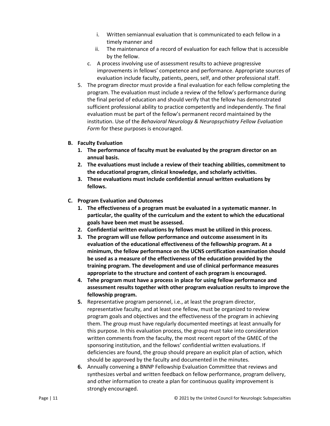- i. Written semiannual evaluation that is communicated to each fellow in a timely manner and
- ii. The maintenance of a record of evaluation for each fellow that is accessible by the fellow.
- c. A process involving use of assessment results to achieve progressive improvements in fellows' competence and performance. Appropriate sources of evaluation include faculty, patients, peers, self, and other professional staff.
- 5. The program director must provide a final evaluation for each fellow completing the program. The evaluation must include a review of the fellow's performance during the final period of education and should verify that the fellow has demonstrated sufficient professional ability to practice competently and independently. The final evaluation must be part of the fellow's permanent record maintained by the institution. Use of the *Behavioral Neurology & Neuropsychiatry Fellow Evaluation Form* for these purposes is encouraged.

#### **B. Faculty Evaluation**

- **1. The performance of faculty must be evaluated by the program director on an annual basis.**
- **2. The evaluations must include a review of their teaching abilities, commitment to the educational program, clinical knowledge, and scholarly activities.**
- **3. These evaluations must include confidential annual written evaluations by fellows.**
- **C. Program Evaluation and Outcomes**
	- **1. The effectiveness of a program must be evaluated in a systematic manner. In particular, the quality of the curriculum and the extent to which the educational goals have been met must be assessed.**
	- **2. Confidential written evaluations by fellows must be utilized in this process.**
	- **3. The program will use fellow performance and outcome assessment in its evaluation of the educational effectiveness of the fellowship program. At a minimum, the fellow performance on the UCNS certification examination should be used as a measure of the effectiveness of the education provided by the training program. The development and use of clinical performance measures appropriate to the structure and content of each program is encouraged.**
	- **4. Tehe program must have a process in place for using fellow performance and assessment results together with other program evaluation results to improve the fellowship program.**
	- **5.** Representative program personnel, i.e., at least the program director, representative faculty, and at least one fellow, must be organized to review program goals and objectives and the effectiveness of the program in achieving them. The group must have regularly documented meetings at least annually for this purpose. In this evaluation process, the group must take into consideration written comments from the faculty, the most recent report of the GMEC of the sponsoring institution, and the fellows' confidential written evaluations. If deficiencies are found, the group should prepare an explicit plan of action, which should be approved by the faculty and documented in the minutes.
	- **6.** Annually convening a BNNP Fellowship Evaluation Committee that reviews and synthesizes verbal and written feedback on fellow performance, program delivery, and other information to create a plan for continuous quality improvement is strongly encouraged.